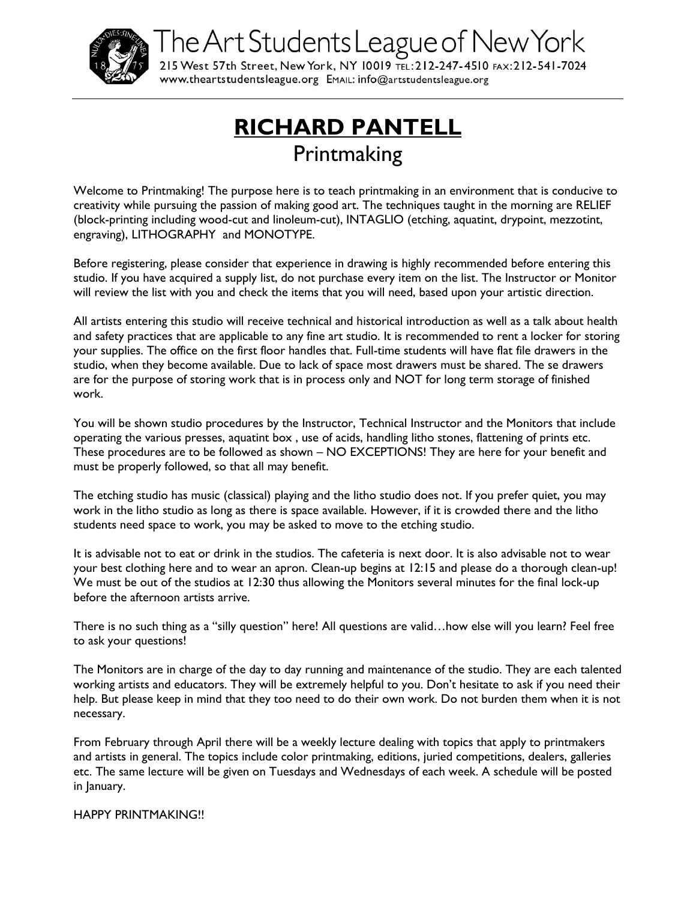

The Art Students League of New York

215 West 57th Street, New York, NY 10019 TEL: 212-247-4510 FAX: 212-541-7024 WWW.theartstudentsleague.org EMAIL: info@artstudentsleague.org

# **RICHARD PANTELL Printmaking**

Welcome to Printmaking! The purpose here is to teach printmaking in an environment that is conducive to creativity while pursuing the passion of making good art. The techniques taught in the morning are RELIEF (block-printing including wood-cut and linoleum-cut), INTAGLIO (etching, aquatint, drypoint, mezzotint, engraving), LITHOGRAPHY and MONOTYPE.

Before registering, please consider that experience in drawing is highly recommended before entering this studio. If you have acquired a supply list, do not purchase every item on the list. The Instructor or Monitor will review the list with you and check the items that you will need, based upon your artistic direction.

All artists entering this studio will receive technical and historical introduction as well as a talk about health and safety practices that are applicable to any fine art studio. It is recommended to rent a locker for storing your supplies. The office on the first floor handles that. Full-time students will have flat file drawers in the studio, when they become available. Due to lack of space most drawers must be shared. The se drawers are for the purpose of storing work that is in process only and NOT for long term storage of finished work.

You will be shown studio procedures by the Instructor, Technical Instructor and the Monitors that include operating the various presses, aquatint box , use of acids, handling litho stones, flattening of prints etc. These procedures are to be followed as shown – NO EXCEPTIONS! They are here for your benefit and must be properly followed, so that all may benefit.

The etching studio has music (classical) playing and the litho studio does not. If you prefer quiet, you may work in the litho studio as long as there is space available. However, if it is crowded there and the litho students need space to work, you may be asked to move to the etching studio.

It is advisable not to eat or drink in the studios. The cafeteria is next door. It is also advisable not to wear your best clothing here and to wear an apron. Clean-up begins at 12:15 and please do a thorough clean-up! We must be out of the studios at 12:30 thus allowing the Monitors several minutes for the final lock-up before the afternoon artists arrive.

There is no such thing as a "silly question" here! All questions are valid…how else will you learn? Feel free to ask your questions!

The Monitors are in charge of the day to day running and maintenance of the studio. They are each talented working artists and educators. They will be extremely helpful to you. Don't hesitate to ask if you need their help. But please keep in mind that they too need to do their own work. Do not burden them when it is not necessary.

From February through April there will be a weekly lecture dealing with topics that apply to printmakers and artists in general. The topics include color printmaking, editions, juried competitions, dealers, galleries etc. The same lecture will be given on Tuesdays and Wednesdays of each week. A schedule will be posted in January.

HAPPY PRINTMAKING!!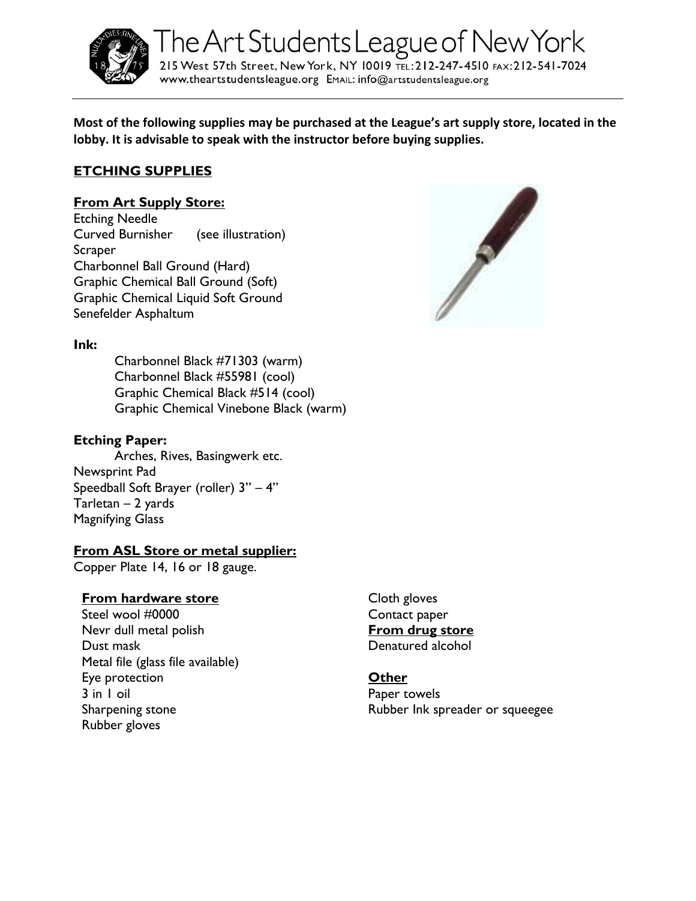

The Art Students League of New York 215 West 57th Street, New York, NY 10019 TEL: 212-247-4510 FAX: 212-541-7024 www.theartstudentsleague.org EMAIL: info@artstudentsleague.org

**Most of the following supplies may be purchased at the League's art supply store, located in the lobby. It is advisable to speak with the instructor before buying supplies.**

## **ETCHING SUPPLIES**

#### **From Art Supply Store:**

Etching Needle Curved Burnisher (see illustration) **Scraper** Charbonnel Ball Ground (Hard) Graphic Chemical Ball Ground (Soft) Graphic Chemical Liquid Soft Ground Senefelder Asphaltum



#### **Ink:**

Charbonnel Black #71303 (warm) Charbonnel Black #55981 (cool) Graphic Chemical Black #514 (cool) Graphic Chemical Vinebone Black (warm)

#### **Etching Paper:**

Arches, Rives, Basingwerk etc. Newsprint Pad Speedball Soft Brayer (roller) 3" – 4" Tarletan – 2 yards Magnifying Glass

### **From ASL Store or metal supplier:**

Copper Plate 14, 16 or 18 gauge.

#### **From hardware store**

Steel wool #0000 Nevr dull metal polish Dust mask Metal file (glass file available) Eye protection 3 in 1 oil Sharpening stone Rubber gloves

Cloth gloves Contact paper **From drug store** Denatured alcohol

#### **Other**

Paper towels Rubber Ink spreader or squeegee